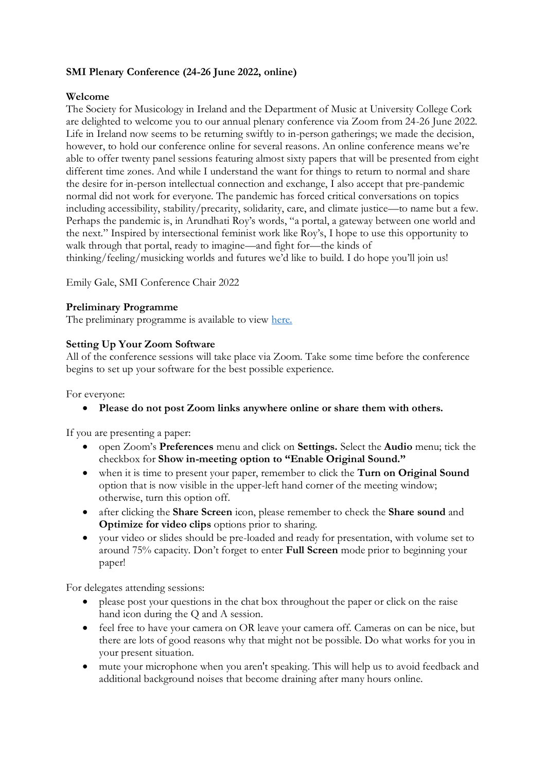# **SMI Plenary Conference (24-26 June 2022, online)**

### **Welcome**

The Society for Musicology in Ireland and the Department of Music at University College Cork are delighted to welcome you to our annual plenary conference via Zoom from 24-26 June 2022. Life in Ireland now seems to be returning swiftly to in-person gatherings; we made the decision, however, to hold our conference online for several reasons. An online conference means we're able to offer twenty panel sessions featuring almost sixty papers that will be presented from eight different time zones. And while I understand the want for things to return to normal and share the desire for in-person intellectual connection and exchange, I also accept that pre-pandemic normal did not work for everyone. The pandemic has forced critical conversations on topics including accessibility, stability/precarity, solidarity, care, and climate justice—to name but a few. Perhaps the pandemic is, in Arundhati Roy's words, "a portal, a gateway between one world and the next." Inspired by intersectional feminist work like Roy's, I hope to use this opportunity to walk through that portal, ready to imagine—and fight for—the kinds of thinking/feeling/musicking worlds and futures we'd like to build. I do hope you'll join us!

Emily Gale, SMI Conference Chair 2022

### **Preliminary Programme**

The preliminary programme is available to view [here.](https://docs.google.com/document/d/1plrRdKyKdFFPfn3eYLm6Y6E-0RBP1P9taNaeyX6-aFU/edit?usp=sharing)

### **Setting Up Your Zoom Software**

All of the conference sessions will take place via Zoom. Take some time before the conference begins to set up your software for the best possible experience.

For everyone:

• **Please do not post Zoom links anywhere online or share them with others.** 

If you are presenting a paper:

- open Zoom's **Preferences** menu and click on **Settings.** Select the **Audio** menu; tick the checkbox for **Show in-meeting option to "Enable Original Sound."**
- when it is time to present your paper, remember to click the **Turn on Original Sound**  option that is now visible in the upper-left hand corner of the meeting window; otherwise, turn this option off.
- after clicking the **Share Screen** icon, please remember to check the **Share sound** and **Optimize for video clips** options prior to sharing.
- your video or slides should be pre-loaded and ready for presentation, with volume set to around 75% capacity. Don't forget to enter **Full Screen** mode prior to beginning your paper!

For delegates attending sessions:

- please post your questions in the chat box throughout the paper or click on the raise hand icon during the Q and A session.
- feel free to have your camera on OR leave your camera off. Cameras on can be nice, but there are lots of good reasons why that might not be possible. Do what works for you in your present situation.
- mute your microphone when you aren't speaking. This will help us to avoid feedback and additional background noises that become draining after many hours online.